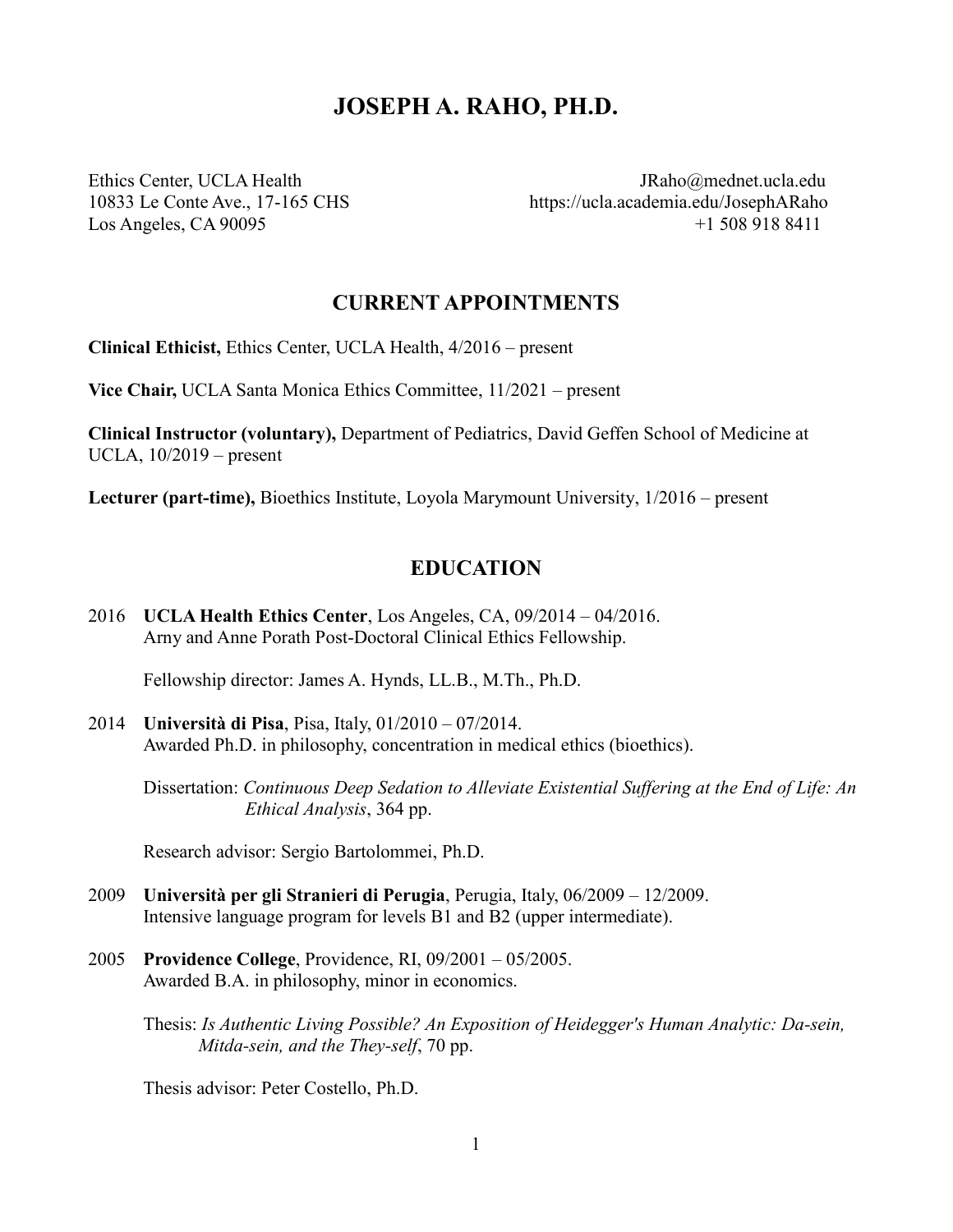# **JOSEPH A. RAHO, PH.D.**

Ethics Center, UCLA Health [JRaho@mednet.ucla.edu](mailto:joeraho@gmail.com) 10833 Le Conte Ave., 17-165 CHS https://ucla.academia.edu/JosephARaho Los Angeles, CA 90095 +1 508 918 8411

## **CURRENT APPOINTMENTS**

**Clinical Ethicist,** Ethics Center, UCLA Health, 4/2016 – present

**Vice Chair,** UCLA Santa Monica Ethics Committee, 11/2021 – present

**Clinical Instructor (voluntary),** Department of Pediatrics, David Geffen School of Medicine at UCLA, 10/2019 – present

**Lecturer (part-time),** Bioethics Institute, Loyola Marymount University, 1/2016 – present

## **EDUCATION**

2016 **UCLA Health Ethics Center**, Los Angeles, CA, 09/2014 – 04/2016. Arny and Anne Porath Post-Doctoral Clinical Ethics Fellowship.

Fellowship director: James A. Hynds, LL.B., M.Th., Ph.D.

2014 **Università di Pisa**, Pisa, Italy, 01/2010 – 07/2014. Awarded Ph.D. in philosophy, concentration in medical ethics (bioethics).

Dissertation: *Continuous Deep Sedation to Alleviate Existential Suffering at the End of Life: An Ethical Analysis*, 364 pp.

Research advisor: Sergio Bartolommei, Ph.D.

- 2009 **Università per gli Stranieri di Perugia**, Perugia, Italy, 06/2009 12/2009. Intensive language program for levels B1 and B2 (upper intermediate).
- 2005 **Providence College**, Providence, RI, 09/2001 05/2005. Awarded B.A. in philosophy, minor in economics.

Thesis: *Is Authentic Living Possible? An Exposition of Heidegger's Human Analytic: Da-sein, Mitda-sein, and the They-self*, 70 pp.

Thesis advisor: Peter Costello, Ph.D.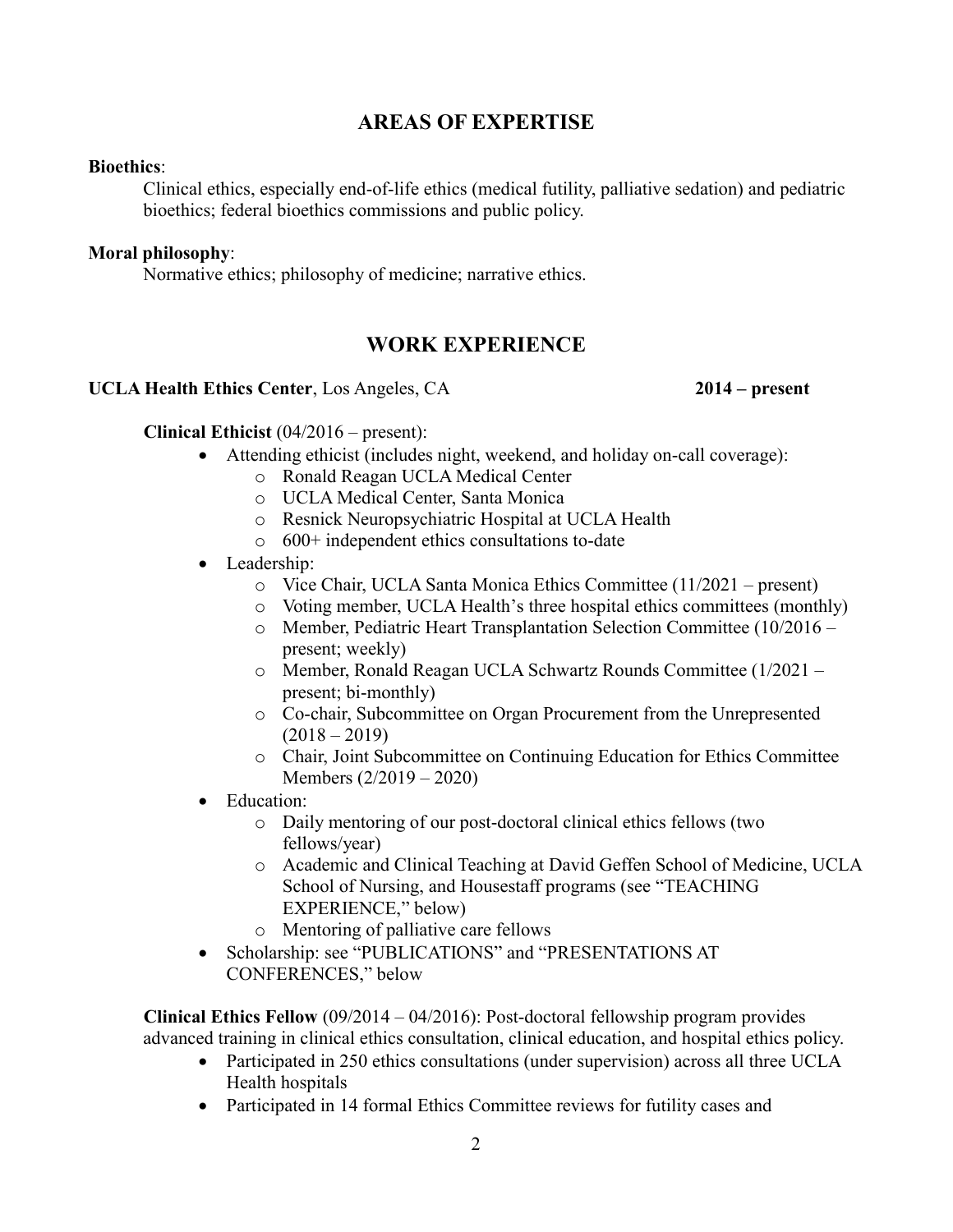## **AREAS OF EXPERTISE**

#### **Bioethics**:

Clinical ethics, especially end-of-life ethics (medical futility, palliative sedation) and pediatric bioethics; federal bioethics commissions and public policy.

#### **Moral philosophy**:

Normative ethics; philosophy of medicine; narrative ethics.

# **WORK EXPERIENCE**

#### **UCLA Health Ethics Center**, Los Angeles, CA **2014 – present**

#### **Clinical Ethicist** (04/2016 – present):

- Attending ethicist (includes night, weekend, and holiday on-call coverage):
	- o Ronald Reagan UCLA Medical Center
	- o UCLA Medical Center, Santa Monica
	- o Resnick Neuropsychiatric Hospital at UCLA Health
	- o 600+ independent ethics consultations to-date
- Leadership:
	- o Vice Chair, UCLA Santa Monica Ethics Committee (11/2021 present)
	- o Voting member, UCLA Health's three hospital ethics committees (monthly)
	- o Member, Pediatric Heart Transplantation Selection Committee (10/2016 present; weekly)
	- o Member, Ronald Reagan UCLA Schwartz Rounds Committee (1/2021 present; bi-monthly)
	- o Co-chair, Subcommittee on Organ Procurement from the Unrepresented  $(2018 - 2019)$
	- o Chair, Joint Subcommittee on Continuing Education for Ethics Committee Members (2/2019 – 2020)
- Education:
	- o Daily mentoring of our post-doctoral clinical ethics fellows (two fellows/year)
	- o Academic and Clinical Teaching at David Geffen School of Medicine, UCLA School of Nursing, and Housestaff programs (see "TEACHING EXPERIENCE," below)
	- o Mentoring of palliative care fellows
- Scholarship: see "PUBLICATIONS" and "PRESENTATIONS AT CONFERENCES," below

**Clinical Ethics Fellow** (09/2014 – 04/2016): Post-doctoral fellowship program provides advanced training in clinical ethics consultation, clinical education, and hospital ethics policy.

- Participated in 250 ethics consultations (under supervision) across all three UCLA Health hospitals
- Participated in 14 formal Ethics Committee reviews for futility cases and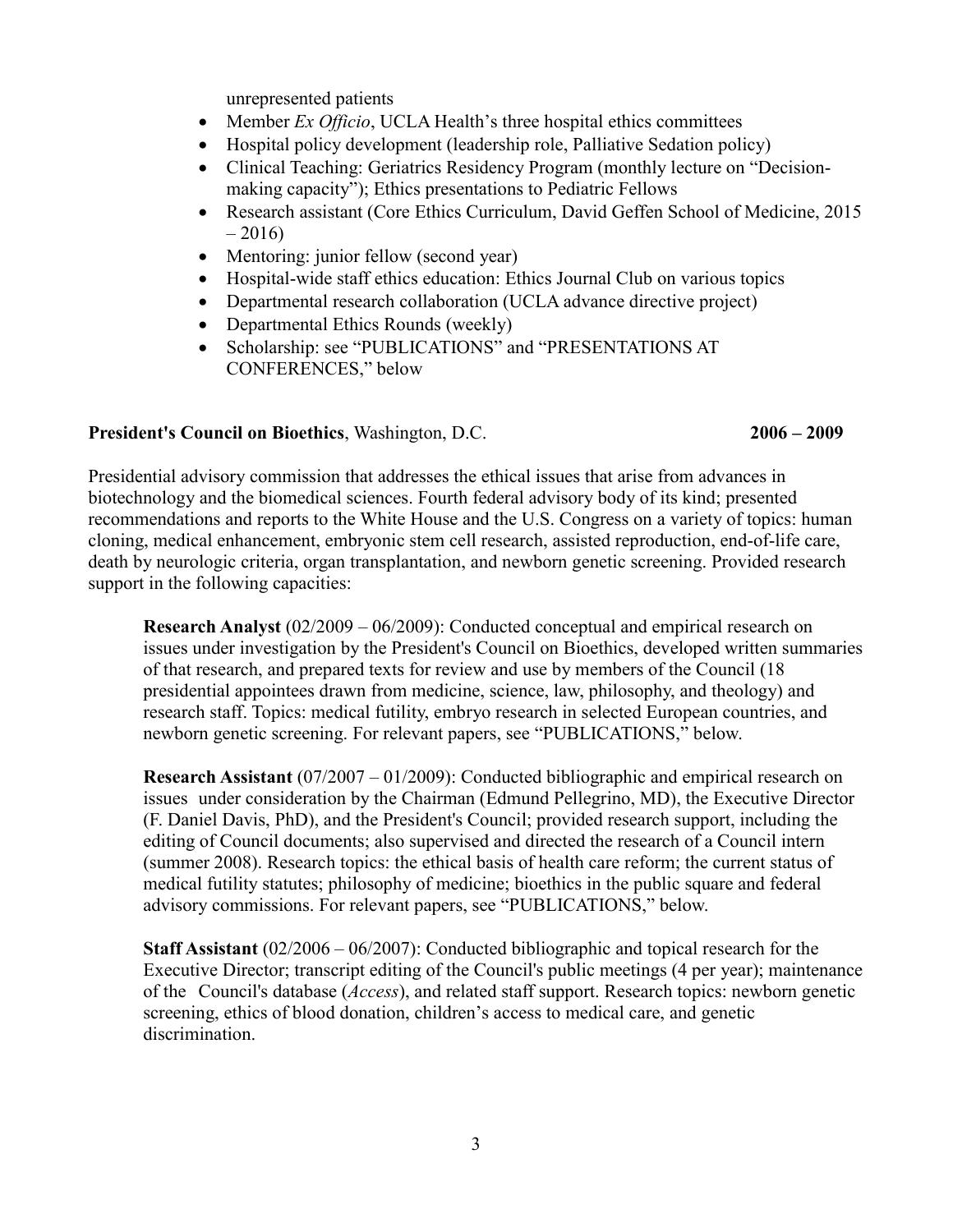unrepresented patients

- Member *Ex Officio*, UCLA Health's three hospital ethics committees
- Hospital policy development (leadership role, Palliative Sedation policy)
- Clinical Teaching: Geriatrics Residency Program (monthly lecture on "Decisionmaking capacity"); Ethics presentations to Pediatric Fellows
- Research assistant (Core Ethics Curriculum, David Geffen School of Medicine, 2015  $-2016$
- Mentoring: junior fellow (second year)
- Hospital-wide staff ethics education: Ethics Journal Club on various topics
- Departmental research collaboration (UCLA advance directive project)
- Departmental Ethics Rounds (weekly)
- Scholarship: see "PUBLICATIONS" and "PRESENTATIONS AT CONFERENCES," below

## **President's Council on Bioethics**, Washington, D.C. **2006 – 2009**

Presidential advisory commission that addresses the ethical issues that arise from advances in biotechnology and the biomedical sciences. Fourth federal advisory body of its kind; presented recommendations and reports to the White House and the U.S. Congress on a variety of topics: human cloning, medical enhancement, embryonic stem cell research, assisted reproduction, end-of-life care, death by neurologic criteria, organ transplantation, and newborn genetic screening. Provided research support in the following capacities:

**Research Analyst** (02/2009 – 06/2009): Conducted conceptual and empirical research on issues under investigation by the President's Council on Bioethics, developed written summaries of that research, and prepared texts for review and use by members of the Council (18 presidential appointees drawn from medicine, science, law, philosophy, and theology) and research staff. Topics: medical futility, embryo research in selected European countries, and newborn genetic screening. For relevant papers, see "PUBLICATIONS," below.

**Research Assistant** (07/2007 – 01/2009): Conducted bibliographic and empirical research on issues under consideration by the Chairman (Edmund Pellegrino, MD), the Executive Director (F. Daniel Davis, PhD), and the President's Council; provided research support, including the editing of Council documents; also supervised and directed the research of a Council intern (summer 2008). Research topics: the ethical basis of health care reform; the current status of medical futility statutes; philosophy of medicine; bioethics in the public square and federal advisory commissions. For relevant papers, see "PUBLICATIONS," below.

**Staff Assistant** (02/2006 – 06/2007): Conducted bibliographic and topical research for the Executive Director; transcript editing of the Council's public meetings (4 per year); maintenance of the Council's database (*Access*), and related staff support. Research topics: newborn genetic screening, ethics of blood donation, children's access to medical care, and genetic discrimination.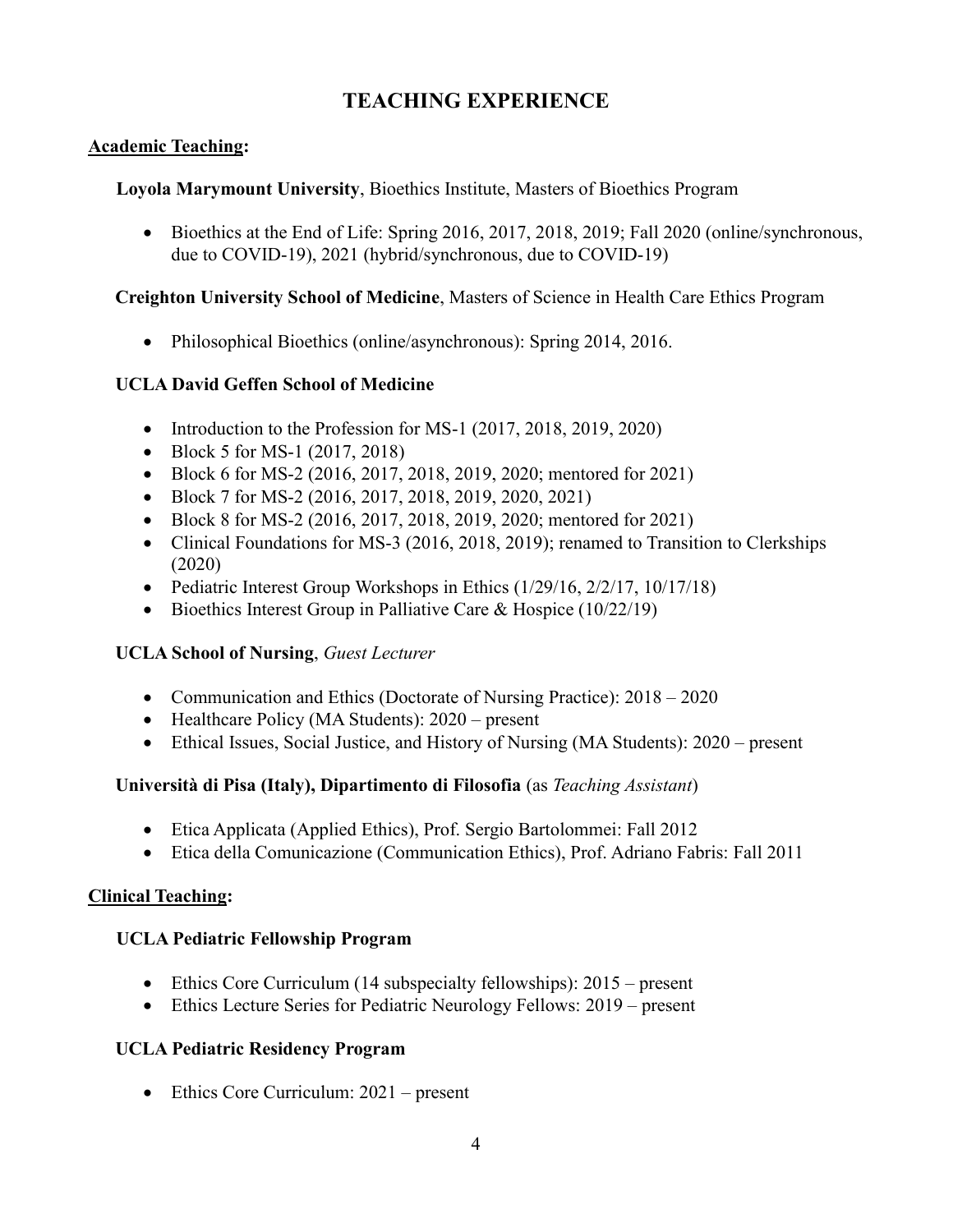# **TEACHING EXPERIENCE**

### **Academic Teaching:**

#### **Loyola Marymount University**, Bioethics Institute, Masters of Bioethics Program

 $\bullet$  Bioethics at the End of Life: Spring 2016, 2017, 2018, 2019; Fall 2020 (online/synchronous, due to COVID-19), 2021 (hybrid/synchronous, due to COVID-19)

#### **Creighton University School of Medicine**, Masters of Science in Health Care Ethics Program

Philosophical Bioethics (online/asynchronous): Spring 2014, 2016.

## **UCLA David Geffen School of Medicine**

- Introduction to the Profession for MS-1 (2017, 2018, 2019, 2020)
- Block 5 for MS-1 (2017, 2018)
- Block 6 for MS-2 (2016, 2017, 2018, 2019, 2020; mentored for 2021)
- Block 7 for MS-2 (2016, 2017, 2018, 2019, 2020, 2021)
- Block 8 for MS-2 (2016, 2017, 2018, 2019, 2020; mentored for 2021)
- Clinical Foundations for MS-3 (2016, 2018, 2019); renamed to Transition to Clerkships (2020)
- Pediatric Interest Group Workshops in Ethics (1/29/16, 2/2/17, 10/17/18)
- Bioethics Interest Group in Palliative Care & Hospice  $(10/22/19)$

## **UCLA School of Nursing**, *Guest Lecturer*

- Communication and Ethics (Doctorate of Nursing Practice): 2018 2020
- Healthcare Policy (MA Students): 2020 present
- Ethical Issues, Social Justice, and History of Nursing (MA Students): 2020 present

## **Università di Pisa (Italy), Dipartimento di Filosofia** (as *Teaching Assistant*)

- Etica Applicata (Applied Ethics), Prof. Sergio Bartolommei: Fall 2012
- Etica della Comunicazione (Communication Ethics), Prof. Adriano Fabris: Fall 2011

## **Clinical Teaching:**

## **UCLA Pediatric Fellowship Program**

- Ethics Core Curriculum (14 subspecialty fellowships): 2015 present
- Ethics Lecture Series for Pediatric Neurology Fellows: 2019 present

## **UCLA Pediatric Residency Program**

• Ethics Core Curriculum: 2021 – present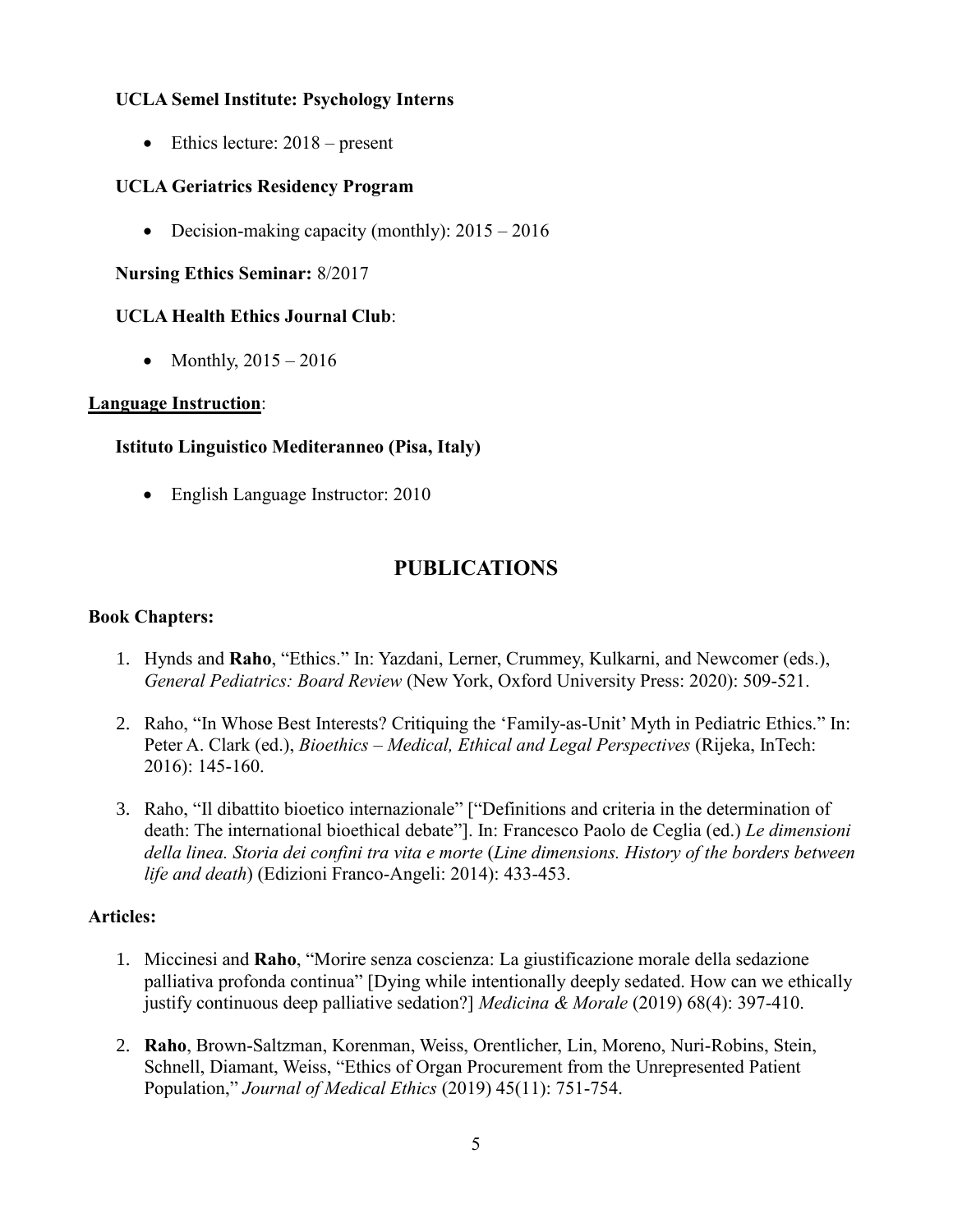### **UCLA Semel Institute: Psychology Interns**

 $\bullet$  Ethics lecture: 2018 – present

#### **UCLA Geriatrics Residency Program**

• Decision-making capacity (monthly):  $2015 - 2016$ 

#### **Nursing Ethics Seminar:** 8/2017

### **UCLA Health Ethics Journal Club**:

• Monthly,  $2015 - 2016$ 

#### **Language Instruction**:

#### **Istituto Linguistico Mediteranneo (Pisa, Italy)**

• English Language Instructor: 2010

# **PUBLICATIONS**

#### **Book Chapters:**

- 1. Hynds and **Raho**, "Ethics." In: Yazdani, Lerner, Crummey, Kulkarni, and Newcomer (eds.), *General Pediatrics: Board Review* (New York, Oxford University Press: 2020): 509-521.
- 2. Raho, "In Whose Best Interests? Critiquing the 'Family-as-Unit' Myth in Pediatric Ethics." In: Peter A. Clark (ed.), *Bioethics – Medical, Ethical and Legal Perspectives* (Rijeka, InTech: 2016): 145-160.
- 3. Raho, "Il dibattito bioetico internazionale" ["Definitions and criteria in the determination of death: The international bioethical debate"]. In: Francesco Paolo de Ceglia (ed.) *Le dimensioni della linea. Storia dei confini tra vita e morte* (*Line dimensions. History of the borders between life and death*) (Edizioni Franco-Angeli: 2014): 433-453.

#### **Articles:**

- 1. Miccinesi and **Raho**, "Morire senza coscienza: La giustificazione morale della sedazione palliativa profonda continua" [Dying while intentionally deeply sedated. How can we ethically justify continuous deep palliative sedation?] *Medicina & Morale* (2019) 68(4): 397-410.
- 2. **Raho**, Brown-Saltzman, Korenman, Weiss, Orentlicher, Lin, Moreno, Nuri-Robins, Stein, Schnell, Diamant, Weiss, "Ethics of Organ Procurement from the Unrepresented Patient Population," *Journal of Medical Ethics* (2019) 45(11): 751-754.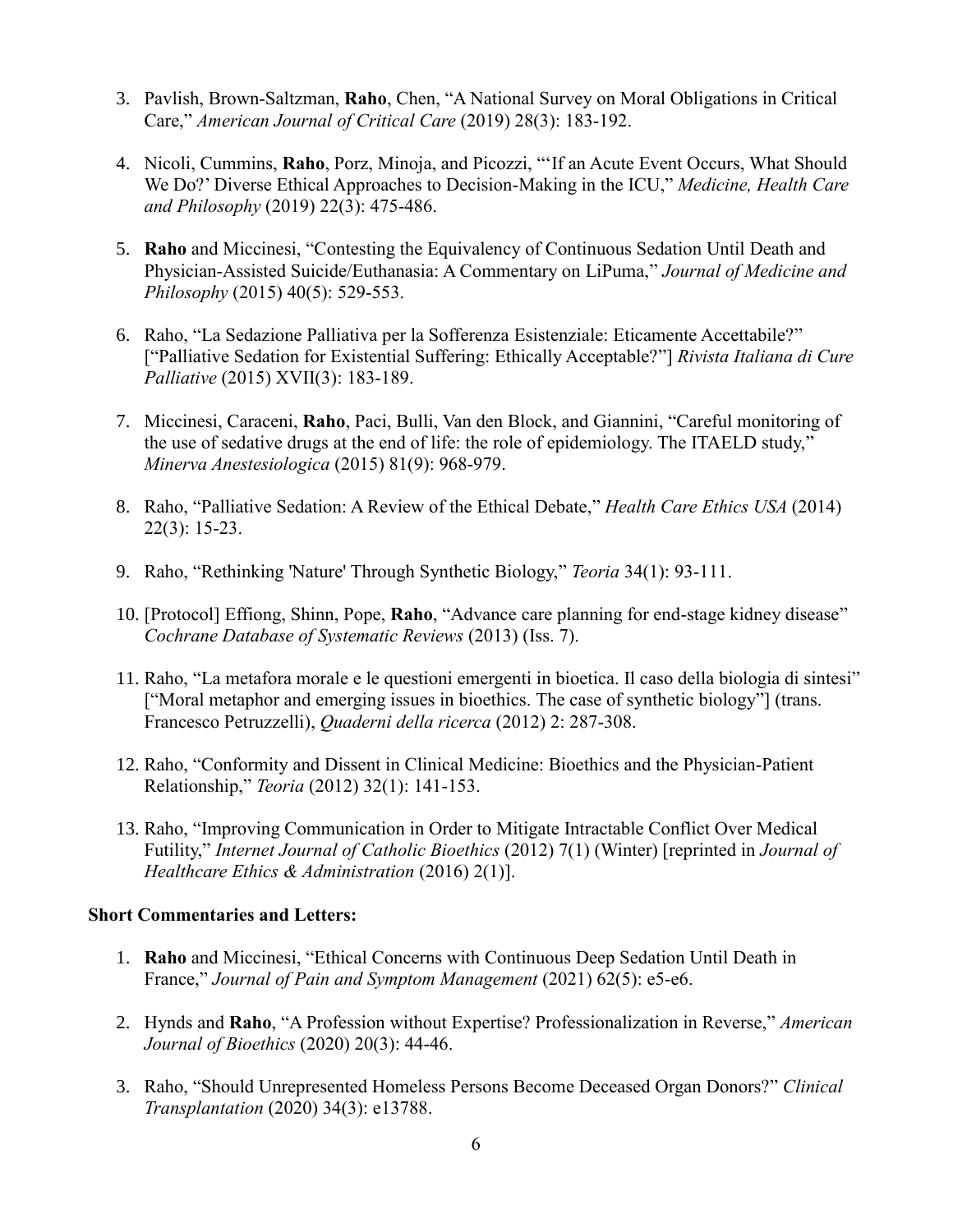- 3. Pavlish, Brown-Saltzman, **Raho**, Chen, "A National Survey on Moral Obligations in Critical Care," *American Journal of Critical Care* (2019) 28(3): 183-192.
- 4. Nicoli, Cummins, **Raho**, Porz, Minoja, and Picozzi, "'If an Acute Event Occurs, What Should We Do?' Diverse Ethical Approaches to Decision-Making in the ICU," *Medicine, Health Care and Philosophy* (2019) 22(3): 475-486.
- 5. **Raho** and Miccinesi, "Contesting the Equivalency of Continuous Sedation Until Death and Physician-Assisted Suicide/Euthanasia: A Commentary on LiPuma," *Journal of Medicine and Philosophy* (2015) 40(5): 529-553.
- 6. Raho, "La Sedazione Palliativa per la Sofferenza Esistenziale: Eticamente Accettabile?" ["Palliative Sedation for Existential Suffering: Ethically Acceptable?"] *Rivista Italiana di Cure Palliative* (2015) XVII(3): 183-189.
- 7. Miccinesi, Caraceni, **Raho**, Paci, Bulli, Van den Block, and Giannini, "Careful monitoring of the use of sedative drugs at the end of life: the role of epidemiology. The ITAELD study," *Minerva Anestesiologica* (2015) 81(9): 968-979.
- 8. Raho, "Palliative Sedation: A Review of the Ethical Debate," *Health Care Ethics USA* (2014) 22(3): 15-23.
- 9. Raho, "Rethinking 'Nature' Through Synthetic Biology," *Teoria* 34(1): 93-111.
- 10. [Protocol] Effiong, Shinn, Pope, **Raho**, "Advance care planning for end-stage kidney disease" *Cochrane Database of Systematic Reviews* (2013) (Iss. 7).
- 11. Raho, "La metafora morale e le questioni emergenti in bioetica. Il caso della biologia di sintesi" ["Moral metaphor and emerging issues in bioethics. The case of synthetic biology"] (trans. Francesco Petruzzelli), *Quaderni della ricerca* (2012) 2: 287-308.
- 12. Raho, "Conformity and Dissent in Clinical Medicine: Bioethics and the Physician-Patient Relationship," *Teoria* (2012) 32(1): 141-153.
- 13. Raho, "Improving Communication in Order to Mitigate Intractable Conflict Over Medical Futility," *Internet Journal of Catholic Bioethics* (2012) 7(1) (Winter) [reprinted in *Journal of Healthcare Ethics & Administration* (2016) 2(1)].

## **Short Commentaries and Letters:**

- 1. **Raho** and Miccinesi, "Ethical Concerns with Continuous Deep Sedation Until Death in France," *Journal of Pain and Symptom Management* (2021) 62(5): e5-e6.
- 2. Hynds and **Raho**, "A Profession without Expertise? Professionalization in Reverse," *American Journal of Bioethics* (2020) 20(3): 44-46.
- 3. Raho, "Should Unrepresented Homeless Persons Become Deceased Organ Donors?" *Clinical Transplantation* (2020) 34(3): e13788.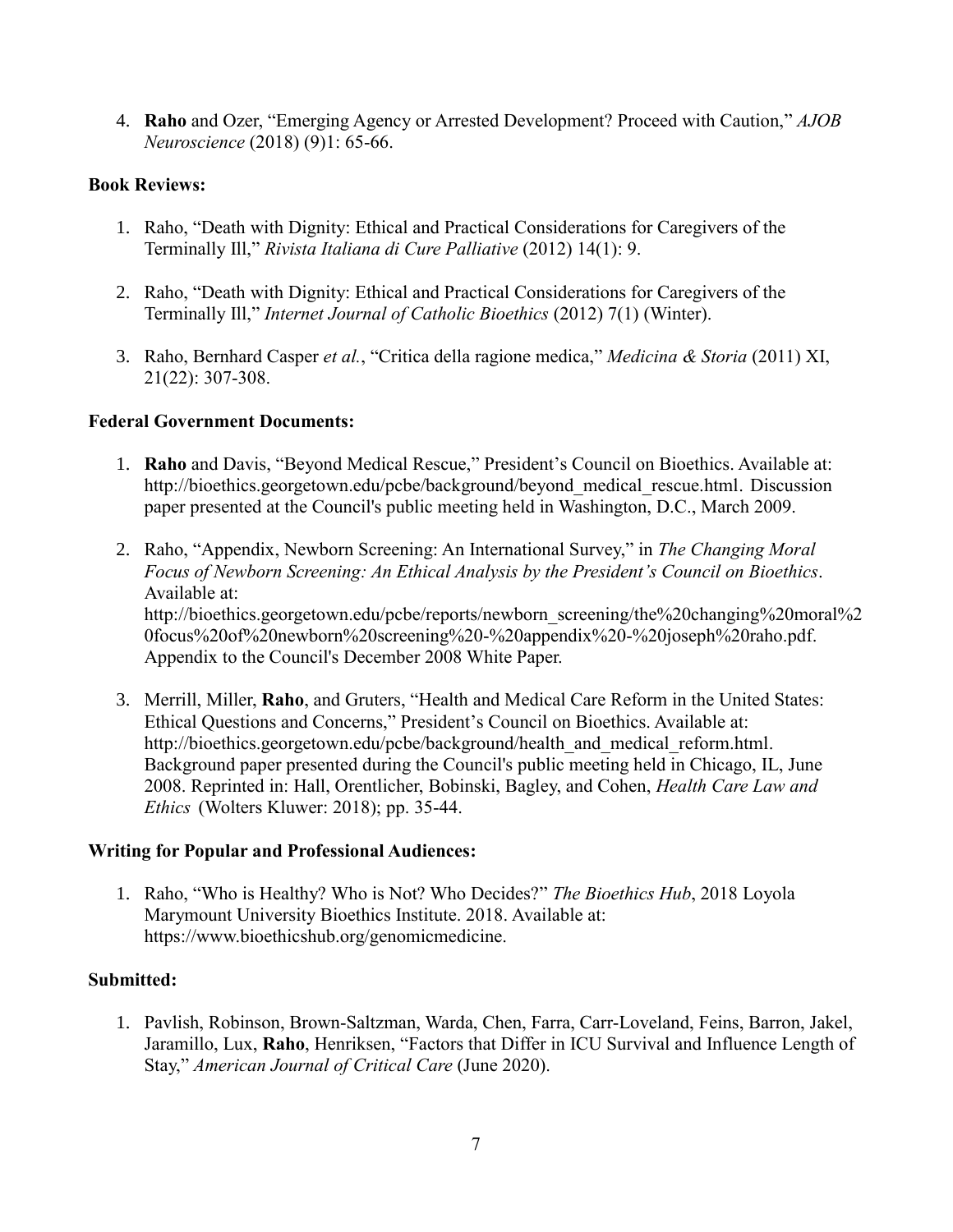4. **Raho** and Ozer, "Emerging Agency or Arrested Development? Proceed with Caution," *AJOB Neuroscience* (2018) (9)1: 65-66.

#### **Book Reviews:**

- 1. Raho, "Death with Dignity: Ethical and Practical Considerations for Caregivers of the Terminally Ill," *Rivista Italiana di Cure Palliative* (2012) 14(1): 9.
- 2. Raho, "Death with Dignity: Ethical and Practical Considerations for Caregivers of the Terminally Ill," *Internet Journal of Catholic Bioethics* (2012) 7(1) (Winter).
- 3. Raho, Bernhard Casper *et al.*, "Critica della ragione medica," *Medicina & Storia* (2011) XI, 21(22): 307-308.

#### **Federal Government Documents:**

- 1. **Raho** and Davis, "Beyond Medical Rescue," President's Council on Bioethics. Available at: [http://bioethics.georgetown.edu/pcbe/background/beyond\\_medical\\_rescue.html.](http://bioethics.georgetown.edu/pcbe/background/beyond_medical_rescue.html) Discussion paper presented at the Council's public meeting held in Washington, D.C., March 2009.
- 2. Raho, "Appendix, Newborn Screening: An International Survey," in *The Changing Moral Focus of Newborn Screening: An Ethical Analysis by the President's Council on Bioethics*. Available at: [http://bioethics.georgetown.edu/pcbe/reports/newborn\\_screening/the%20changing%20moral](http://bioethics.georgetown.edu/pcbe/reports/newborn_screening/the%20changing)[%2](http://bioethics.georgetown.edu/pcbe/reports/newborn_screening/the%20changing%20moral%20focus%20of%20newborn%20screening%20-%20appendix%20-%20joseph%20raho.pdf) [0focus%20of%20newborn%20screening%20-%20appendix%20-%20joseph%20raho.pdf.](http://bioethics.georgetown.edu/pcbe/reports/newborn_screening/the%20changing%20moral%20focus%20of%20newborn%20screening%20-%20appendix%20-%20joseph%20raho.pdf) Appendix to the Council's December 2008 White Paper.
- 3. Merrill, Miller, **Raho**, and Gruters, "Health and Medical Care Reform in the United States: Ethical Questions and Concerns," President's Council on Bioethics. Available at: [http://bioethics.georgetown.edu/pcbe/background/health\\_and\\_medical\\_reform.html.](http://bioethics.georgetown.edu/pcbe/background/health_and_medical_reform.html) Background paper presented during the Council's public meeting held in Chicago, IL, June 2008. Reprinted in: Hall, Orentlicher, Bobinski, Bagley, and Cohen, *Health Care Law and Ethics* (Wolters Kluwer: 2018); pp. 35-44.

#### **Writing for Popular and Professional Audiences:**

1. Raho, "Who is Healthy? Who is Not? Who Decides?" *The Bioethics Hub*, 2018 Loyola Marymount University Bioethics Institute. 2018. Available at: https://www.bioethicshub.org/genomicmedicine.

#### **Submitted:**

1. Pavlish, Robinson, Brown-Saltzman, Warda, Chen, Farra, Carr-Loveland, Feins, Barron, Jakel, Jaramillo, Lux, **Raho**, Henriksen, "Factors that Differ in ICU Survival and Influence Length of Stay," *American Journal of Critical Care* (June 2020).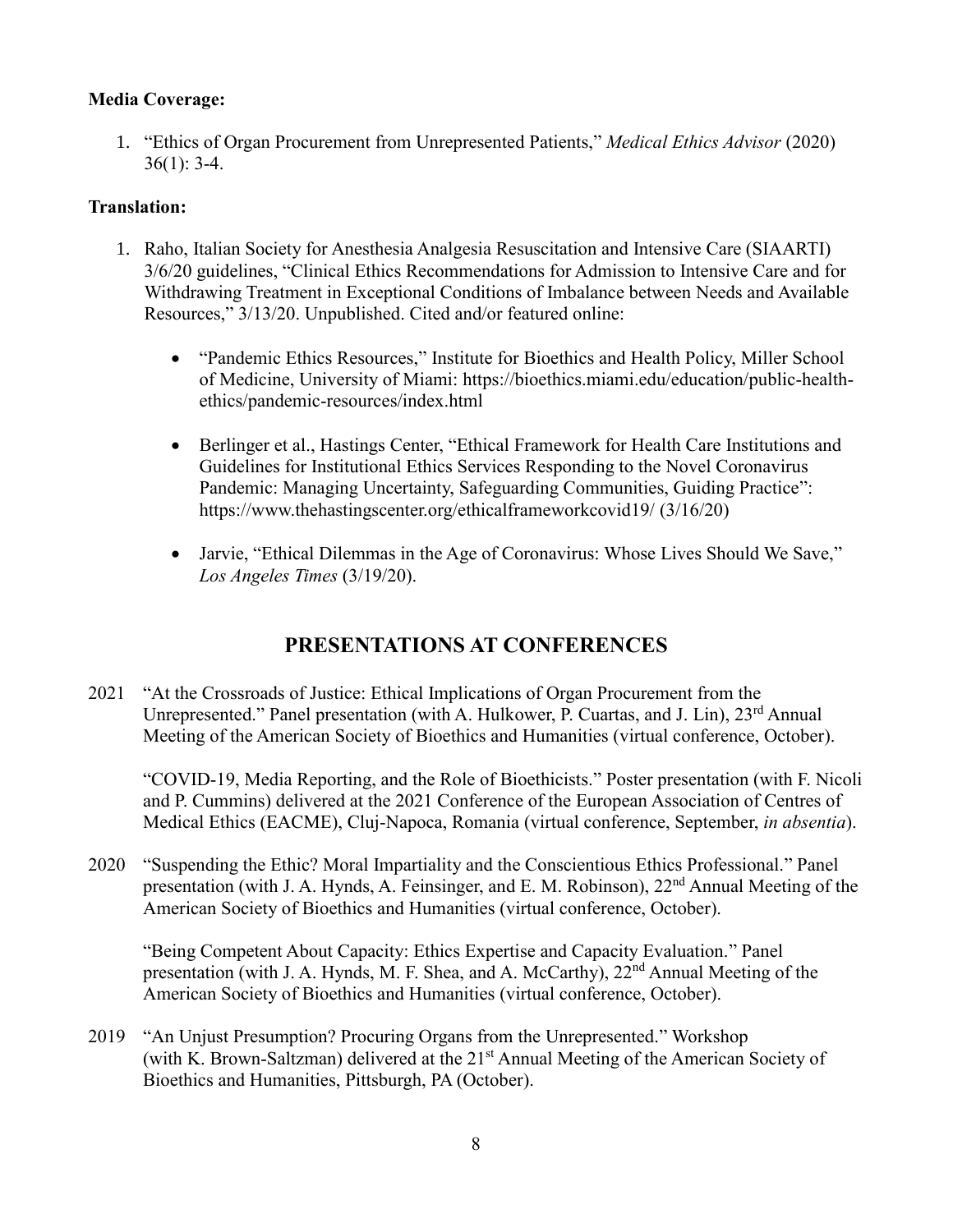## **Media Coverage:**

1. "Ethics of Organ Procurement from Unrepresented Patients," *Medical Ethics Advisor* (2020)  $36(1): 3-4.$ 

## **Translation:**

- 1. Raho, Italian Society for Anesthesia Analgesia Resuscitation and Intensive Care (SIAARTI) 3/6/20 guidelines, "Clinical Ethics Recommendations for Admission to Intensive Care and for Withdrawing Treatment in Exceptional Conditions of Imbalance between Needs and Available Resources," 3/13/20. Unpublished. Cited and/or featured online:
	- "Pandemic Ethics Resources," Institute for Bioethics and Health Policy, Miller School of Medicine, University of Miami: https://bioethics.miami.edu/education/public-healthethics/pandemic-resources/index.html
	- Berlinger et al., Hastings Center, "Ethical Framework for Health Care Institutions and Guidelines for Institutional Ethics Services Responding to the Novel Coronavirus Pandemic: Managing Uncertainty, Safeguarding Communities, Guiding Practice": <https://www.thehastingscenter.org/ethicalframeworkcovid19/> (3/16/20)
	- Jarvie, "Ethical Dilemmas in the Age of Coronavirus: Whose Lives Should We Save," *Los Angeles Times* (3/19/20).

# **PRESENTATIONS AT CONFERENCES**

2021 "At the Crossroads of Justice: Ethical Implications of Organ Procurement from the Unrepresented." Panel presentation (with A. Hulkower, P. Cuartas, and J. Lin),  $23^{rd}$  Annual Meeting of the American Society of Bioethics and Humanities (virtual conference, October).

"COVID-19, Media Reporting, and the Role of Bioethicists." Poster presentation (with F. Nicoli and P. Cummins) delivered at the 2021 Conference of the European Association of Centres of Medical Ethics (EACME), Cluj-Napoca, Romania (virtual conference, September, *in absentia*).

2020 "Suspending the Ethic? Moral Impartiality and the Conscientious Ethics Professional." Panel presentation (with J. A. Hynds, A. Feinsinger, and E. M. Robinson), 22<sup>nd</sup> Annual Meeting of the American Society of Bioethics and Humanities (virtual conference, October).

"Being Competent About Capacity: Ethics Expertise and Capacity Evaluation." Panel presentation (with J. A. Hynds, M. F. Shea, and A. McCarthy), 22<sup>nd</sup> Annual Meeting of the American Society of Bioethics and Humanities (virtual conference, October).

2019 "An Unjust Presumption? Procuring Organs from the Unrepresented." Workshop (with K. Brown-Saltzman) delivered at the  $21<sup>st</sup>$  Annual Meeting of the American Society of Bioethics and Humanities, Pittsburgh, PA (October).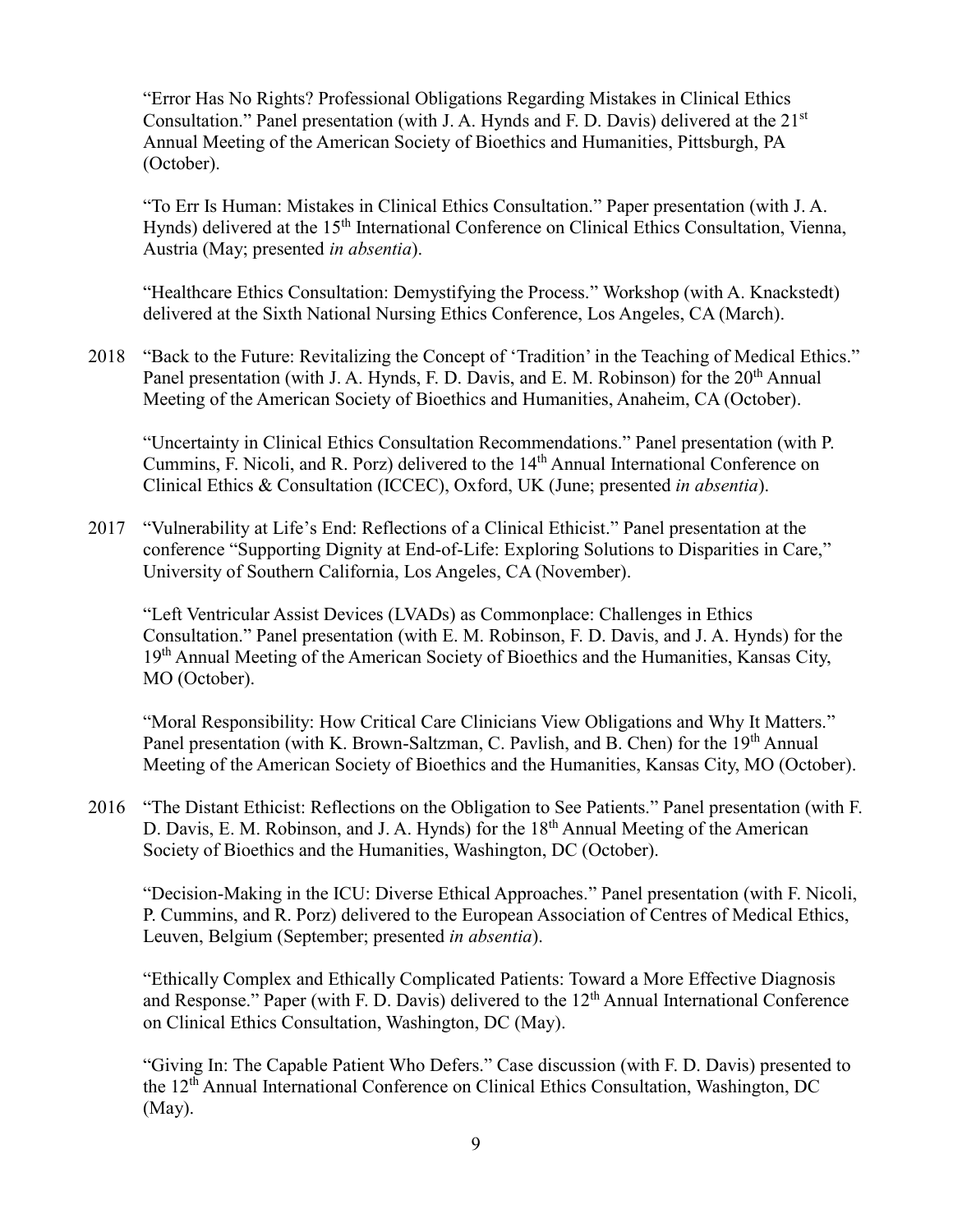"Error Has No Rights? Professional Obligations Regarding Mistakes in Clinical Ethics Consultation." Panel presentation (with J. A. Hynds and F. D. Davis) delivered at the 21<sup>st</sup> Annual Meeting of the American Society of Bioethics and Humanities, Pittsburgh, PA (October).

"To Err Is Human: Mistakes in Clinical Ethics Consultation." Paper presentation (with J. A. Hynds) delivered at the 15<sup>th</sup> International Conference on Clinical Ethics Consultation, Vienna, Austria (May; presented *in absentia*).

"Healthcare Ethics Consultation: Demystifying the Process." Workshop (with A. Knackstedt) delivered at the Sixth National Nursing Ethics Conference, Los Angeles, CA (March).

2018 "Back to the Future: Revitalizing the Concept of 'Tradition' in the Teaching of Medical Ethics." Panel presentation (with J. A. Hynds, F. D. Davis, and E. M. Robinson) for the 20<sup>th</sup> Annual Meeting of the American Society of Bioethics and Humanities, Anaheim, CA (October).

"Uncertainty in Clinical Ethics Consultation Recommendations." Panel presentation (with P. Cummins, F. Nicoli, and R. Porz) delivered to the 14<sup>th</sup> Annual International Conference on Clinical Ethics & Consultation (ICCEC), Oxford, UK (June; presented *in absentia*).

2017 "Vulnerability at Life's End: Reflections of a Clinical Ethicist." Panel presentation at the conference "Supporting Dignity at End-of-Life: Exploring Solutions to Disparities in Care," University of Southern California, Los Angeles, CA (November).

"Left Ventricular Assist Devices (LVADs) as Commonplace: Challenges in Ethics Consultation." Panel presentation (with E. M. Robinson, F. D. Davis, and J. A. Hynds) for the 19<sup>th</sup> Annual Meeting of the American Society of Bioethics and the Humanities, Kansas City, MO (October).

"Moral Responsibility: How Critical Care Clinicians View Obligations and Why It Matters." Panel presentation (with K. Brown-Saltzman, C. Pavlish, and B. Chen) for the 19<sup>th</sup> Annual Meeting of the American Society of Bioethics and the Humanities, Kansas City, MO (October).

2016 "The Distant Ethicist: Reflections on the Obligation to See Patients." Panel presentation (with F. D. Davis, E. M. Robinson, and J. A. Hynds) for the  $18<sup>th</sup>$  Annual Meeting of the American Society of Bioethics and the Humanities, Washington, DC (October).

"Decision-Making in the ICU: Diverse Ethical Approaches." Panel presentation (with F. Nicoli, P. Cummins, and R. Porz) delivered to the European Association of Centres of Medical Ethics, Leuven, Belgium (September; presented *in absentia*).

"Ethically Complex and Ethically Complicated Patients: Toward a More Effective Diagnosis and Response." Paper (with F. D. Davis) delivered to the  $12<sup>th</sup>$  Annual International Conference on Clinical Ethics Consultation, Washington, DC (May).

"Giving In: The Capable Patient Who Defers." Case discussion (with F. D. Davis) presented to the 12<sup>th</sup> Annual International Conference on Clinical Ethics Consultation, Washington, DC (May).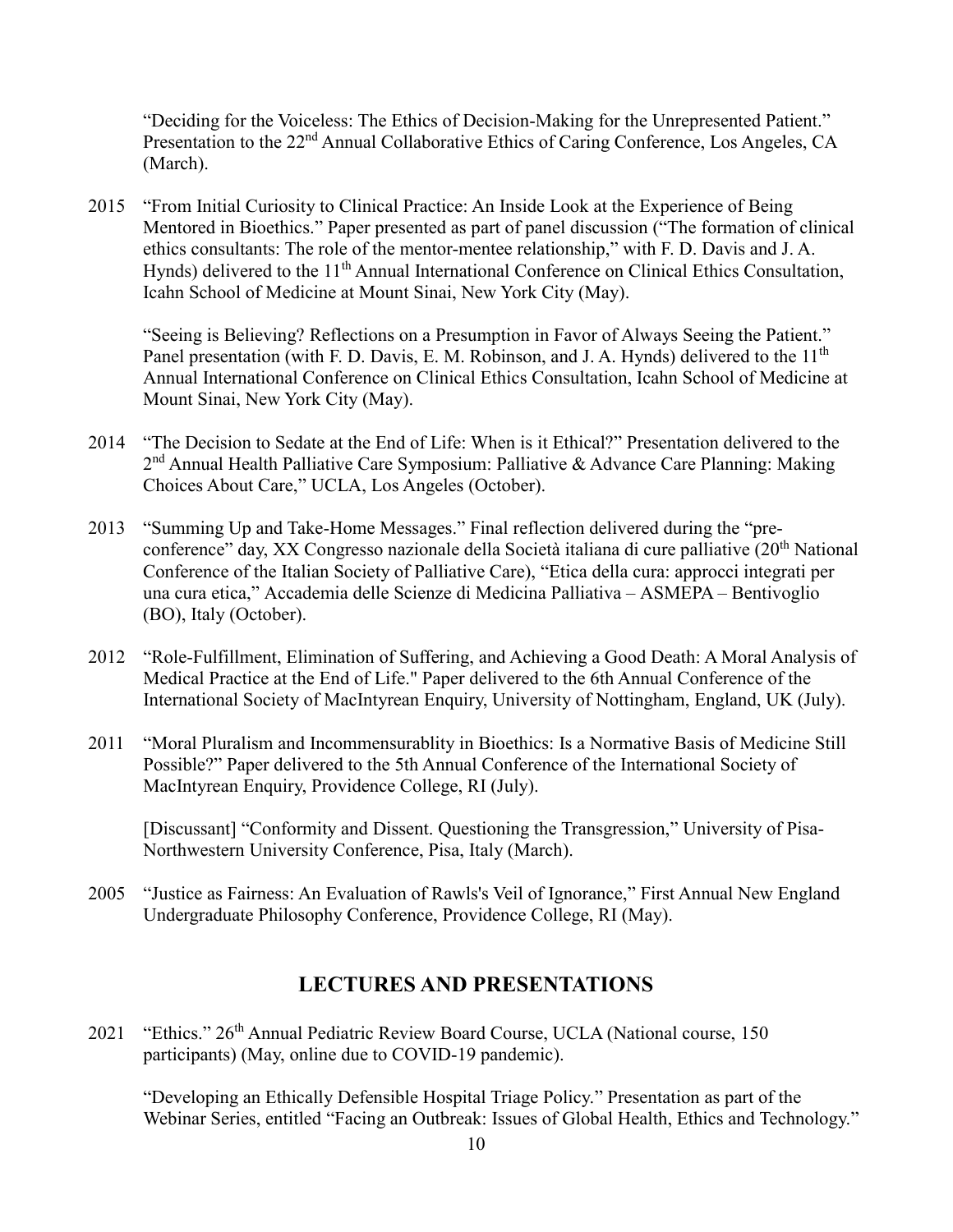"Deciding for the Voiceless: The Ethics of Decision-Making for the Unrepresented Patient." Presentation to the 22<sup>nd</sup> Annual Collaborative Ethics of Caring Conference, Los Angeles, CA (March).

2015 "From Initial Curiosity to Clinical Practice: An Inside Look at the Experience of Being Mentored in Bioethics." Paper presented as part of panel discussion ("The formation of clinical ethics consultants: The role of the mentor-mentee relationship," with F. D. Davis and J. A. Hynds) delivered to the 11<sup>th</sup> Annual International Conference on Clinical Ethics Consultation, Icahn School of Medicine at Mount Sinai, New York City (May).

"Seeing is Believing? Reflections on a Presumption in Favor of Always Seeing the Patient." Panel presentation (with F. D. Davis, E. M. Robinson, and J. A. Hynds) delivered to the 11<sup>th</sup> Annual International Conference on Clinical Ethics Consultation, Icahn School of Medicine at Mount Sinai, New York City (May).

- 2014 "The Decision to Sedate at the End of Life: When is it Ethical?" Presentation delivered to the 2<sup>nd</sup> Annual Health Palliative Care Symposium: Palliative & Advance Care Planning: Making Choices About Care," UCLA, Los Angeles (October).
- 2013 "Summing Up and Take-Home Messages." Final reflection delivered during the "preconference" day, XX Congresso nazionale della Società italiana di cure palliative (20<sup>th</sup> National Conference of the Italian Society of Palliative Care), "Etica della cura: approcci integrati per una cura etica," Accademia delle Scienze di Medicina Palliativa – ASMEPA – Bentivoglio (BO), Italy (October).
- 2012 "Role-Fulfillment, Elimination of Suffering, and Achieving a Good Death: A Moral Analysis of Medical Practice at the End of Life." Paper delivered to the 6th Annual Conference of the International Society of MacIntyrean Enquiry, University of Nottingham, England, UK (July).
- 2011 "Moral Pluralism and Incommensurablity in Bioethics: Is a Normative Basis of Medicine Still Possible?" Paper delivered to the 5th Annual Conference of the International Society of MacIntyrean Enquiry, Providence College, RI (July).

[Discussant] "Conformity and Dissent. Questioning the Transgression," University of Pisa-Northwestern University Conference, Pisa, Italy (March).

2005 "Justice as Fairness: An Evaluation of Rawls's Veil of Ignorance," First Annual New England Undergraduate Philosophy Conference, Providence College, RI (May).

## **LECTURES AND PRESENTATIONS**

2021 "Ethics." 26<sup>th</sup> Annual Pediatric Review Board Course, UCLA (National course, 150 participants) (May, online due to COVID-19 pandemic).

"Developing an Ethically Defensible Hospital Triage Policy." Presentation as part of the Webinar Series, entitled "Facing an Outbreak: Issues of Global Health, Ethics and Technology."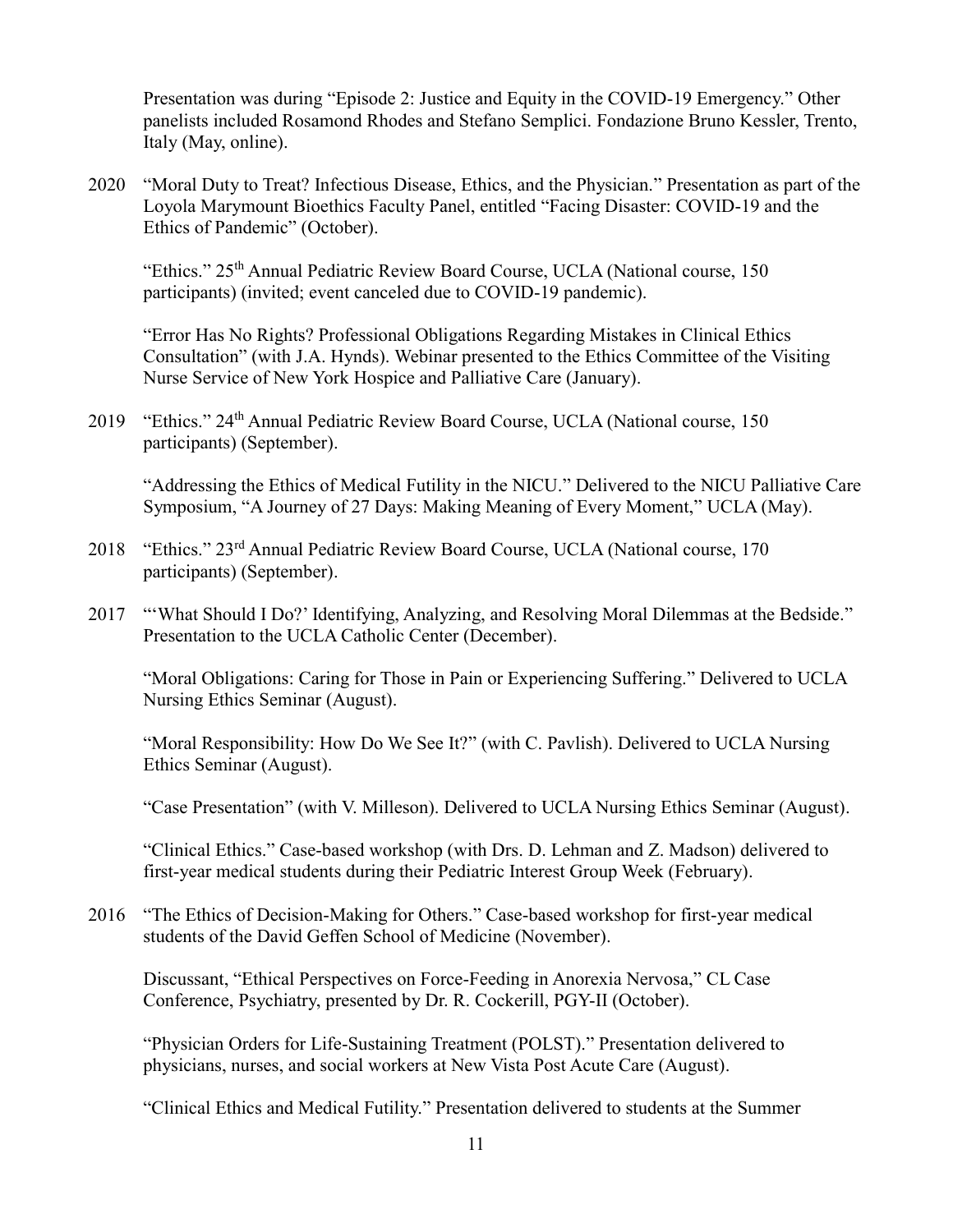Presentation was during "Episode 2: Justice and Equity in the COVID-19 Emergency." Other panelists included Rosamond Rhodes and Stefano Semplici. Fondazione Bruno Kessler, Trento, Italy (May, online).

2020 "Moral Duty to Treat? Infectious Disease, Ethics, and the Physician." Presentation as part of the Loyola Marymount Bioethics Faculty Panel, entitled "Facing Disaster: COVID-19 and the Ethics of Pandemic" (October).

"Ethics." 25<sup>th</sup> Annual Pediatric Review Board Course, UCLA (National course, 150 participants) (invited; event canceled due to COVID-19 pandemic).

"Error Has No Rights? Professional Obligations Regarding Mistakes in Clinical Ethics Consultation" (with J.A. Hynds). Webinar presented to the Ethics Committee of the Visiting Nurse Service of New York Hospice and Palliative Care (January).

2019 "Ethics." 24<sup>th</sup> Annual Pediatric Review Board Course, UCLA (National course, 150 participants) (September).

"Addressing the Ethics of Medical Futility in the NICU." Delivered to the NICU Palliative Care Symposium, "A Journey of 27 Days: Making Meaning of Every Moment," UCLA (May).

- 2018 "Ethics." 23rd Annual Pediatric Review Board Course, UCLA (National course, 170 participants) (September).
- 2017 "'What Should I Do?' Identifying, Analyzing, and Resolving Moral Dilemmas at the Bedside." Presentation to the UCLA Catholic Center (December).

"Moral Obligations: Caring for Those in Pain or Experiencing Suffering." Delivered to UCLA Nursing Ethics Seminar (August).

"Moral Responsibility: How Do We See It?" (with C. Pavlish). Delivered to UCLA Nursing Ethics Seminar (August).

"Case Presentation" (with V. Milleson). Delivered to UCLA Nursing Ethics Seminar (August).

"Clinical Ethics." Case-based workshop (with Drs. D. Lehman and Z. Madson) delivered to first-year medical students during their Pediatric Interest Group Week (February).

2016 "The Ethics of Decision-Making for Others." Case-based workshop for first-year medical students of the David Geffen School of Medicine (November).

Discussant, "Ethical Perspectives on Force-Feeding in Anorexia Nervosa," CL Case Conference, Psychiatry, presented by Dr. R. Cockerill, PGY-II (October).

"Physician Orders for Life-Sustaining Treatment (POLST)." Presentation delivered to physicians, nurses, and social workers at New Vista Post Acute Care (August).

"Clinical Ethics and Medical Futility." Presentation delivered to students at the Summer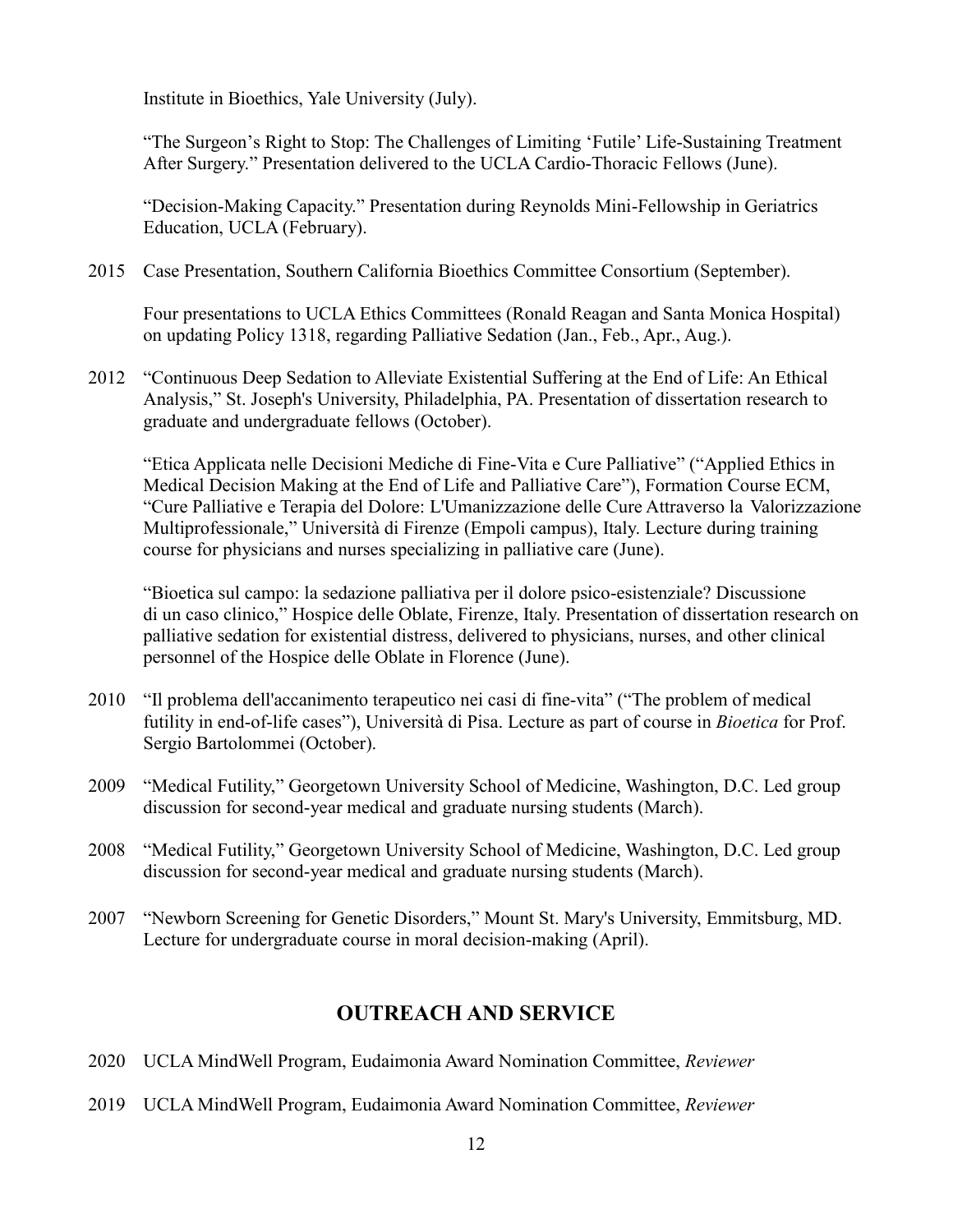Institute in Bioethics, Yale University (July).

"The Surgeon's Right to Stop: The Challenges of Limiting 'Futile' Life-Sustaining Treatment After Surgery." Presentation delivered to the UCLA Cardio-Thoracic Fellows (June).

"Decision-Making Capacity." Presentation during Reynolds Mini-Fellowship in Geriatrics Education, UCLA (February).

2015 Case Presentation, Southern California Bioethics Committee Consortium (September).

Four presentations to UCLA Ethics Committees (Ronald Reagan and Santa Monica Hospital) on updating Policy 1318, regarding Palliative Sedation (Jan., Feb., Apr., Aug.).

2012 "Continuous Deep Sedation to Alleviate Existential Suffering at the End of Life: An Ethical Analysis," St. Joseph's University, Philadelphia, PA. Presentation of dissertation research to graduate and undergraduate fellows (October).

"Etica Applicata nelle Decisioni Mediche di Fine-Vita e Cure Palliative" ("Applied Ethics in Medical Decision Making at the End of Life and Palliative Care"), Formation Course ECM, "Cure Palliative e Terapia del Dolore: L'Umanizzazione delle Cure Attraverso la Valorizzazione Multiprofessionale," Università di Firenze (Empoli campus), Italy. Lecture during training course for physicians and nurses specializing in palliative care (June).

"Bioetica sul campo: la sedazione palliativa per il dolore psico-esistenziale? Discussione di un caso clinico," Hospice delle Oblate, Firenze, Italy. Presentation of dissertation research on palliative sedation for existential distress, delivered to physicians, nurses, and other clinical personnel of the Hospice delle Oblate in Florence (June).

- 2010 "Il problema dell'accanimento terapeutico nei casi di fine-vita" ("The problem of medical futility in end-of-life cases"), Università di Pisa. Lecture as part of course in *Bioetica* for Prof. Sergio Bartolommei (October).
- 2009 "Medical Futility," Georgetown University School of Medicine, Washington, D.C. Led group discussion for second-year medical and graduate nursing students (March).
- 2008 "Medical Futility," Georgetown University School of Medicine, Washington, D.C. Led group discussion for second-year medical and graduate nursing students (March).
- 2007 "Newborn Screening for Genetic Disorders," Mount St. Mary's University, Emmitsburg, MD. Lecture for undergraduate course in moral decision-making (April).

## **OUTREACH AND SERVICE**

- 2020 UCLA MindWell Program, Eudaimonia Award Nomination Committee, *Reviewer*
- 2019 UCLA MindWell Program, Eudaimonia Award Nomination Committee, *Reviewer*